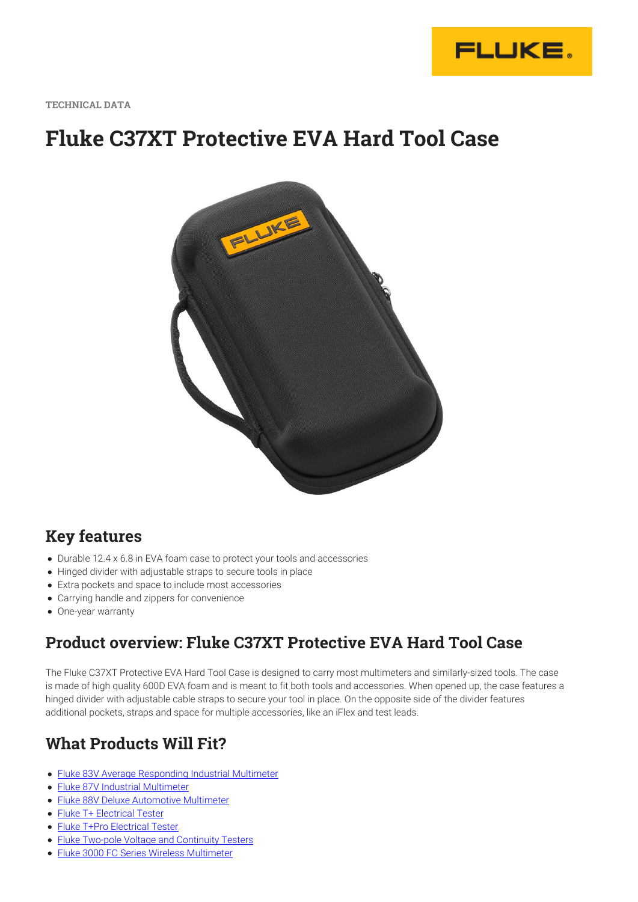

**TECHNICAL DATA**

# **Fluke C37XT Protective EVA Hard Tool Case**



### **Key features**

- Durable 12.4 x 6.8 in EVA foam case to protect your tools and accessories
- Hinged divider with adjustable straps to secure tools in place
- Extra pockets and space to include most accessories
- Carrying handle and zippers for convenience
- One-year warranty

### **Product overview: Fluke C37XT Protective EVA Hard Tool Case**

The Fluke C37XT Protective EVA Hard Tool Case is designed to carry most multimeters and similarly-sized tools. The case is made of high quality 600D EVA foam and is meant to fit both tools and accessories. When opened up, the case features a hinged divider with adjustable cable straps to secure your tool in place. On the opposite side of the divider features additional pockets, straps and space for multiple accessories, like an iFlex and test leads.

### **What Products Will Fit?**

- [Fluke 83V Average Responding Industrial Multimeter](https://www.fluke.com/en-us/product/electrical-testing/digital-multimeters/fluke-83v)
- [Fluke 87V Industrial Multimeter](https://www.fluke.com/en-us/product/electrical-testing/digital-multimeters/fluke-87v)
- [Fluke 88V Deluxe Automotive Multimeter](https://www.fluke.com/en-us/product/electrical-testing/digital-multimeters/fluke-88v)
- [Fluke T+ Electrical Tester](https://www.fluke.com/en-us/product/electrical-testing/basic-testers/fluke-t-plus)
- [Fluke T+Pro Electrical Tester](https://www.fluke.com/en-us/product/electrical-testing/basic-testers/fluke-t-plus-pro)
- [Fluke Two-pole Voltage and Continuity Testers](https://www.fluke.com/en-us/search/fluke/?query=Fluke+Two-pole+Voltage+and+Continuity+Testers)
- [Fluke 3000 FC Series Wireless Multimeter](https://www.fluke.com/en-us/product/electrical-testing/digital-multimeters/fluke-3000-fc)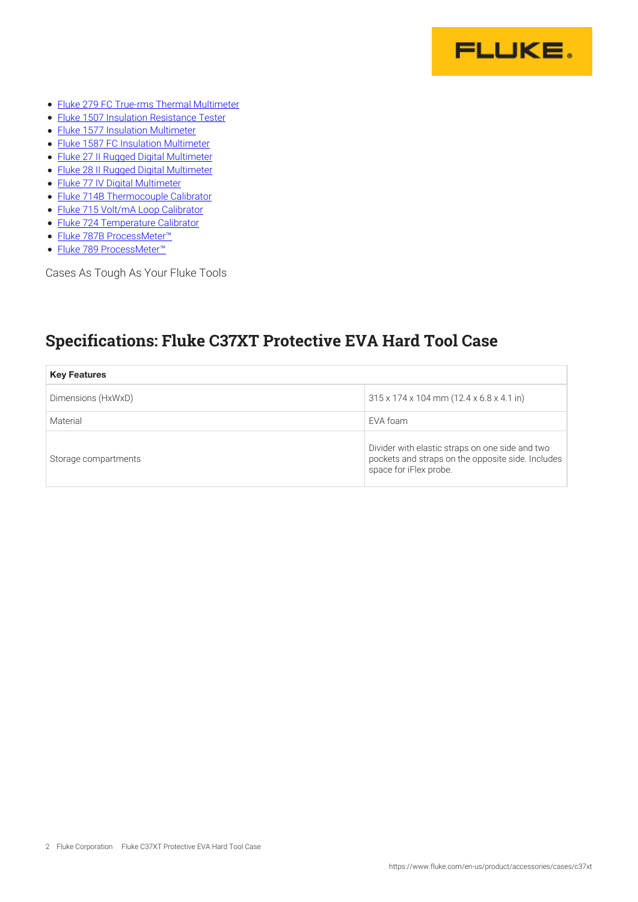

- [Fluke 279 FC True-rms Thermal Multimeter](https://www.fluke.com/en-us/product/electrical-testing/digital-multimeters/fluke-279-fc)
- [Fluke 1507 Insulation Resistance Tester](https://www.fluke.com/en-us/product/electrical-testing/insulation-testers/fluke-1507)
- [Fluke 1577 Insulation Multimeter](https://www.fluke.com/en-us/product/electrical-testing/insulation-testers/fluke-1577)
- [Fluke 1587 FC Insulation Multimeter](https://www.fluke.com/en-us/product/electrical-testing/insulation-testers/fluke-1587-fc)
- [Fluke 27 II Rugged Digital Multimeter](https://www.fluke.com/en-us/product/electrical-testing/digital-multimeters/fluke-27-ii)
- [Fluke 28 II Rugged Digital Multimeter](https://www.fluke.com/en-us/product/electrical-testing/digital-multimeters/fluke-28-ii)
- [Fluke 77 IV Digital Multimeter](https://www.fluke.com/en-us/product/electrical-testing/digital-multimeters/fluke-77-iv)
- [Fluke 714B Thermocouple Calibrator](https://www.fluke.com/en-us/product/calibration-tools/temperature-calibrators/fluke-714b)
- [Fluke 715 Volt/mA Loop Calibrator](https://www.fluke.com/en-us/product/calibration-tools/ma-loop-calibrators/fluke-715)
- [Fluke 724 Temperature Calibrator](https://www.fluke.com/en-us/product/calibration-tools/temperature-calibrators/fluke-724)
- [Fluke 787B ProcessMeter™](https://www.fluke.com/en-us/product/calibration-tools/ma-loop-calibrators/fluke-787b)
- [Fluke 789 ProcessMeter™](https://www.fluke.com/en-us/product/calibration-tools/ma-loop-calibrators/fluke-789)

Cases As Tough As Your Fluke Tools

#### **Specifications: Fluke C37XT Protective EVA Hard Tool Case**

| <b>Key Features</b>  |                                                                                                                                |
|----------------------|--------------------------------------------------------------------------------------------------------------------------------|
| Dimensions (HxWxD)   | $315 \times 174 \times 104$ mm (12.4 x 6.8 x 4.1 in)                                                                           |
| Material             | EVA foam                                                                                                                       |
| Storage compartments | Divider with elastic straps on one side and two<br>pockets and straps on the opposite side. Includes<br>space for iFlex probe. |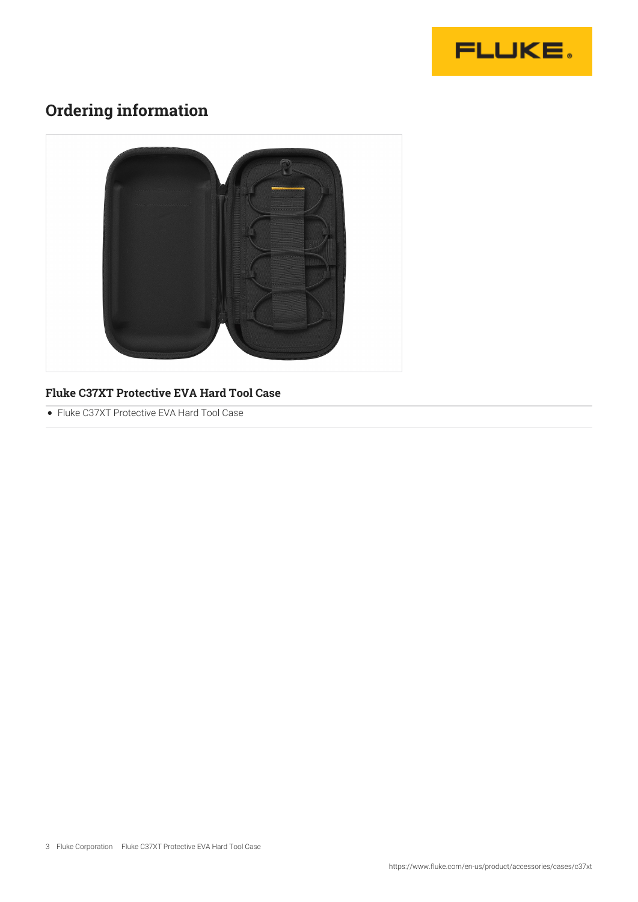

## **Ordering information**



#### **Fluke C37XT Protective EVA Hard Tool Case**

• Fluke C37XT Protective EVA Hard Tool Case